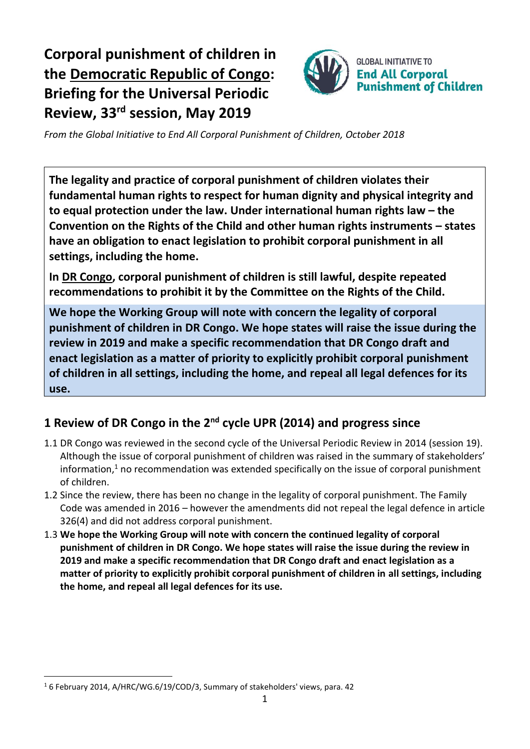# **Corporal punishment of children in the Democratic Republic of Congo: Briefing for the Universal Periodic Review, 33 rd session, May 2019**



*From the Global Initiative to End All Corporal Punishment of Children, October 2018*

**The legality and practice of corporal punishment of children violates their fundamental human rights to respect for human dignity and physical integrity and to equal protection under the law. Under international human rights law – the Convention on the Rights of the Child and other human rights instruments – states have an obligation to enact legislation to prohibit corporal punishment in all settings, including the home.**

**In DR Congo, corporal punishment of children is still lawful, despite repeated recommendations to prohibit it by the Committee on the Rights of the Child.**

**We hope the Working Group will note with concern the legality of corporal punishment of children in DR Congo. We hope states will raise the issue during the review in 2019 and make a specific recommendation that DR Congo draft and enact legislation as a matter of priority to explicitly prohibit corporal punishment of children in all settings, including the home, and repeal all legal defences for its use.**

## **1 Review of DR Congo in the 2nd cycle UPR (2014) and progress since**

- 1.1 DR Congo was reviewed in the second cycle of the Universal Periodic Review in 2014 (session 19). Although the issue of corporal punishment of children was raised in the summary of stakeholders' information,<sup>1</sup> no recommendation was extended specifically on the issue of corporal punishment of children.
- 1.2 Since the review, there has been no change in the legality of corporal punishment. The Family Code was amended in 2016 – however the amendments did not repeal the legal defence in article 326(4) and did not address corporal punishment.
- 1.3 **We hope the Working Group will note with concern the continued legality of corporal punishment of children in DR Congo. We hope states will raise the issue during the review in 2019 and make a specific recommendation that DR Congo draft and enact legislation as a matter of priority to explicitly prohibit corporal punishment of children in all settings, including the home, and repeal all legal defences for its use.**

 $\overline{a}$ 

<sup>&</sup>lt;sup>1</sup> 6 February 2014, A/HRC/WG.6/19/COD/3, Summary of stakeholders' views, para. 42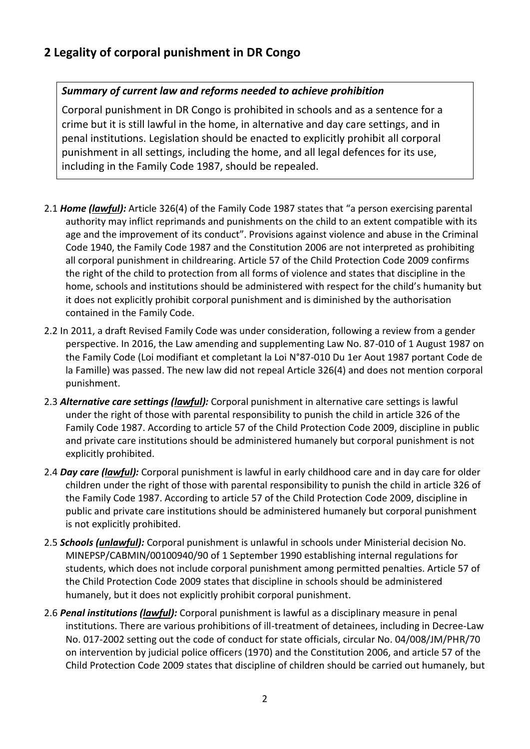### **2 Legality of corporal punishment in DR Congo**

#### *Summary of current law and reforms needed to achieve prohibition*

Corporal punishment in DR Congo is prohibited in schools and as a sentence for a crime but it is still lawful in the home, in alternative and day care settings, and in penal institutions. Legislation should be enacted to explicitly prohibit all corporal punishment in all settings, including the home, and all legal defences for its use, including in the Family Code 1987, should be repealed.

- 2.1 *Home (lawful):* Article 326(4) of the Family Code 1987 states that "a person exercising parental authority may inflict reprimands and punishments on the child to an extent compatible with its age and the improvement of its conduct". Provisions against violence and abuse in the Criminal Code 1940, the Family Code 1987 and the Constitution 2006 are not interpreted as prohibiting all corporal punishment in childrearing. Article 57 of the Child Protection Code 2009 confirms the right of the child to protection from all forms of violence and states that discipline in the home, schools and institutions should be administered with respect for the child's humanity but it does not explicitly prohibit corporal punishment and is diminished by the authorisation contained in the Family Code.
- 2.2 In 2011, a draft Revised Family Code was under consideration, following a review from a gender perspective. In 2016, the Law amending and supplementing Law No. 87-010 of 1 August 1987 on the Family Code (Loi modifiant et completant la Loi N°87-010 Du 1er Aout 1987 portant Code de la Famille) was passed. The new law did not repeal Article 326(4) and does not mention corporal punishment.
- 2.3 *Alternative care settings (lawful):* Corporal punishment in alternative care settings is lawful under the right of those with parental responsibility to punish the child in article 326 of the Family Code 1987. According to article 57 of the Child Protection Code 2009, discipline in public and private care institutions should be administered humanely but corporal punishment is not explicitly prohibited.
- 2.4 *Day care (lawful):* Corporal punishment is lawful in early childhood care and in day care for older children under the right of those with parental responsibility to punish the child in article 326 of the Family Code 1987. According to article 57 of the Child Protection Code 2009, discipline in public and private care institutions should be administered humanely but corporal punishment is not explicitly prohibited.
- 2.5 *Schools (unlawful):* Corporal punishment is unlawful in schools under Ministerial decision No. MINEPSP/CABMIN/00100940/90 of 1 September 1990 establishing internal regulations for students, which does not include corporal punishment among permitted penalties. Article 57 of the Child Protection Code 2009 states that discipline in schools should be administered humanely, but it does not explicitly prohibit corporal punishment.
- 2.6 *Penal institutions (lawful):* Corporal punishment is lawful as a disciplinary measure in penal institutions. There are various prohibitions of ill-treatment of detainees, including in Decree-Law No. 017-2002 setting out the code of conduct for state officials, circular No. 04/008/JM/PHR/70 on intervention by judicial police officers (1970) and the Constitution 2006, and article 57 of the Child Protection Code 2009 states that discipline of children should be carried out humanely, but